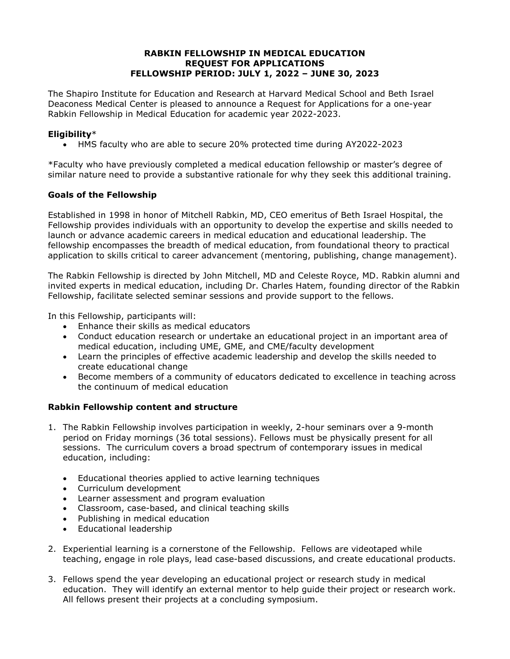#### **RABKIN FELLOWSHIP IN MEDICAL EDUCATION REQUEST FOR APPLICATIONS FELLOWSHIP PERIOD: JULY 1, 2022 – JUNE 30, 2023**

The Shapiro Institute for Education and Research at Harvard Medical School and Beth Israel Deaconess Medical Center is pleased to announce a Request for Applications for a one-year Rabkin Fellowship in Medical Education for academic year 2022-2023.

## **Eligibility**\*

• HMS faculty who are able to secure 20% protected time during AY2022-2023

\*Faculty who have previously completed a medical education fellowship or master's degree of similar nature need to provide a substantive rationale for why they seek this additional training.

## **Goals of the Fellowship**

Established in 1998 in honor of Mitchell Rabkin, MD, CEO emeritus of Beth Israel Hospital, the Fellowship provides individuals with an opportunity to develop the expertise and skills needed to launch or advance academic careers in medical education and educational leadership. The fellowship encompasses the breadth of medical education, from foundational theory to practical application to skills critical to career advancement (mentoring, publishing, change management).

The Rabkin Fellowship is directed by John Mitchell, MD and Celeste Royce, MD. Rabkin alumni and invited experts in medical education, including Dr. Charles Hatem, founding director of the Rabkin Fellowship, facilitate selected seminar sessions and provide support to the fellows.

In this Fellowship, participants will:

- Enhance their skills as medical educators
- Conduct education research or undertake an educational project in an important area of medical education, including UME, GME, and CME/faculty development
- Learn the principles of effective academic leadership and develop the skills needed to create educational change
- Become members of a community of educators dedicated to excellence in teaching across the continuum of medical education

## **Rabkin Fellowship content and structure**

- 1. The Rabkin Fellowship involves participation in weekly, 2-hour seminars over a 9-month period on Friday mornings (36 total sessions). Fellows must be physically present for all sessions. The curriculum covers a broad spectrum of contemporary issues in medical education, including:
	- Educational theories applied to active learning techniques
	- Curriculum development
	- Learner assessment and program evaluation
	- Classroom, case-based, and clinical teaching skills
	- Publishing in medical education
	- Educational leadership
- 2. Experiential learning is a cornerstone of the Fellowship. Fellows are videotaped while teaching, engage in role plays, lead case-based discussions, and create educational products.
- 3. Fellows spend the year developing an educational project or research study in medical education. They will identify an external mentor to help guide their project or research work. All fellows present their projects at a concluding symposium.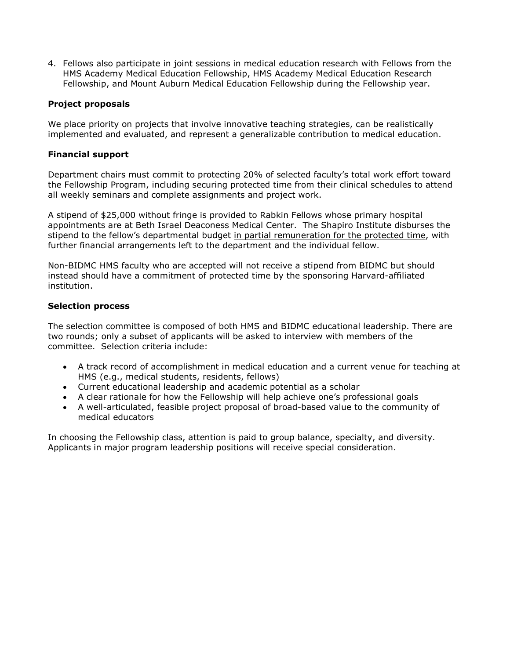4. Fellows also participate in joint sessions in medical education research with Fellows from the HMS Academy Medical Education Fellowship, HMS Academy Medical Education Research Fellowship, and Mount Auburn Medical Education Fellowship during the Fellowship year.

#### **Project proposals**

We place priority on projects that involve innovative teaching strategies, can be realistically implemented and evaluated, and represent a generalizable contribution to medical education.

#### **Financial support**

Department chairs must commit to protecting 20% of selected faculty's total work effort toward the Fellowship Program, including securing protected time from their clinical schedules to attend all weekly seminars and complete assignments and project work.

A stipend of \$25,000 without fringe is provided to Rabkin Fellows whose primary hospital appointments are at Beth Israel Deaconess Medical Center. The Shapiro Institute disburses the stipend to the fellow's departmental budget in partial remuneration for the protected time, with further financial arrangements left to the department and the individual fellow.

Non-BIDMC HMS faculty who are accepted will not receive a stipend from BIDMC but should instead should have a commitment of protected time by the sponsoring Harvard-affiliated institution.

#### **Selection process**

The selection committee is composed of both HMS and BIDMC educational leadership. There are two rounds; only a subset of applicants will be asked to interview with members of the committee. Selection criteria include:

- A track record of accomplishment in medical education and a current venue for teaching at HMS (e.g., medical students, residents, fellows)
- Current educational leadership and academic potential as a scholar
- A clear rationale for how the Fellowship will help achieve one's professional goals
- A well-articulated, feasible project proposal of broad-based value to the community of medical educators

In choosing the Fellowship class, attention is paid to group balance, specialty, and diversity. Applicants in major program leadership positions will receive special consideration.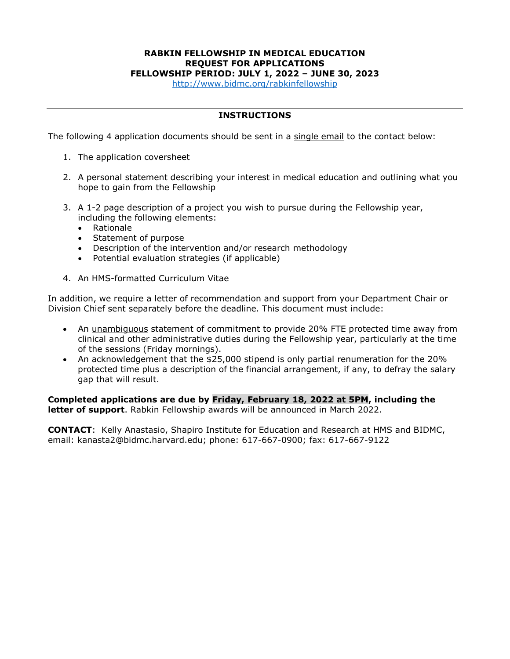# **RABKIN FELLOWSHIP IN MEDICAL EDUCATION REQUEST FOR APPLICATIONS**

**FELLOWSHIP PERIOD: JULY 1, 2022 – JUNE 30, 2023**

<http://www.bidmc.org/rabkinfellowship>

#### **INSTRUCTIONS**

The following 4 application documents should be sent in a single email to the contact below:

- 1. The application coversheet
- 2. A personal statement describing your interest in medical education and outlining what you hope to gain from the Fellowship
- 3. A 1-2 page description of a project you wish to pursue during the Fellowship year, including the following elements:
	- Rationale
	- Statement of purpose
	- Description of the intervention and/or research methodology
	- Potential evaluation strategies (if applicable)
- 4. An HMS-formatted Curriculum Vitae

In addition, we require a letter of recommendation and support from your Department Chair or Division Chief sent separately before the deadline. This document must include:

- An unambiguous statement of commitment to provide 20% FTE protected time away from clinical and other administrative duties during the Fellowship year, particularly at the time of the sessions (Friday mornings).
- An acknowledgement that the \$25,000 stipend is only partial renumeration for the 20% protected time plus a description of the financial arrangement, if any, to defray the salary gap that will result.

**Completed applications are due by Friday, February 18, 2022 at 5PM, including the letter of support**. Rabkin Fellowship awards will be announced in March 2022.

**CONTACT**: Kelly Anastasio, Shapiro Institute for Education and Research at HMS and BIDMC, email: kanasta2@bidmc.harvard.edu; phone: 617-667-0900; fax: 617-667-9122